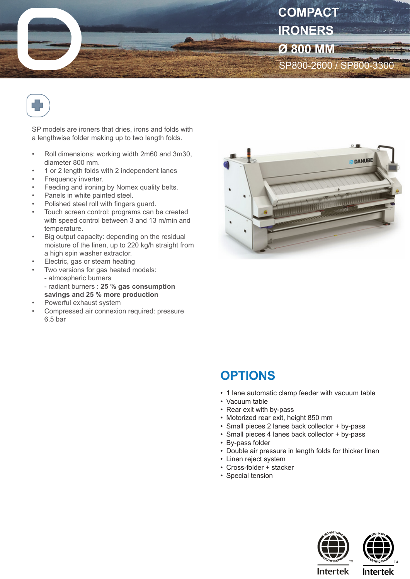



SP models are ironers that dries, irons and folds with a lengthwise folder making up to two length folds.

- Roll dimensions: working width 2m60 and 3m30, diameter 800 mm.
- 1 or 2 length folds with 2 independent lanes
- Frequency inverter.
- Feeding and ironing by Nomex quality belts.
- Panels in white painted steel.
- Polished steel roll with fingers guard.
- Touch screen control: programs can be created with speed control between 3 and 13 m/min and temperature.
- Big output capacity: depending on the residual moisture of the linen, up to 220 kg/h straight from a high spin washer extractor.
- Electric, gas or steam heating
- Two versions for gas heated models:
	- atmospheric burners
- radiant burners : **25 % gas consumption savings and 25 % more production**
- Powerful exhaust system
- Compressed air connexion required: pressure 6,5 bar



## **OPTIONS**

- 1 lane automatic clamp feeder with vacuum table
- Vacuum table
- Rear exit with by-pass
- Motorized rear exit, height 850 mm
- Small pieces 2 lanes back collector + by-pass
- Small pieces 4 lanes back collector + by-pass
- By-pass folder
- Double air pressure in length folds for thicker linen
- Linen reject system
- Cross-folder + stacker
- Special tension





**Intertek** 

**Intertek**